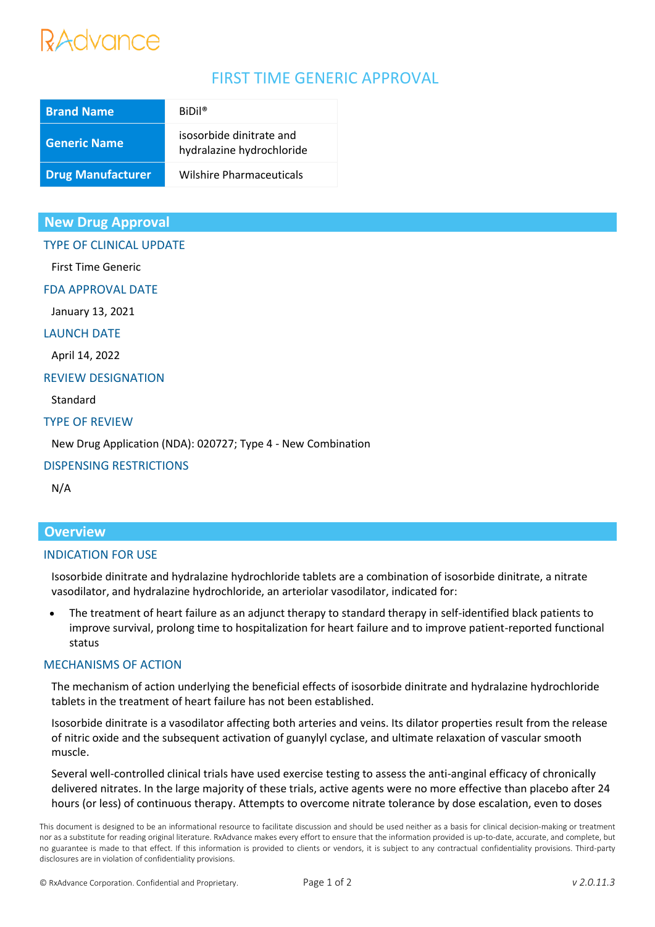## Advance

### FIRST TIME GENERIC APPROVAL

| <b>Brand Name</b>        | $BiDil^{\circ}$                                       |
|--------------------------|-------------------------------------------------------|
| <b>Generic Name</b>      | isosorbide dinitrate and<br>hydralazine hydrochloride |
| <b>Drug Manufacturer</b> | <b>Wilshire Pharmaceuticals</b>                       |

#### **New Drug Approval**

#### TYPE OF CLINICAL UPDATE

First Time Generic

FDA APPROVAL DATE

January 13, 2021

#### LAUNCH DATE

April 14, 2022

#### REVIEW DESIGNATION

Standard

#### TYPE OF REVIEW

New Drug Application (NDA): 020727; Type 4 - New Combination

#### DISPENSING RESTRICTIONS

N/A

#### **Overview**

#### INDICATION FOR USE

Isosorbide dinitrate and hydralazine hydrochloride tablets are a combination of isosorbide dinitrate, a nitrate vasodilator, and hydralazine hydrochloride, an arteriolar vasodilator, indicated for:

• The treatment of heart failure as an adjunct therapy to standard therapy in self-identified black patients to improve survival, prolong time to hospitalization for heart failure and to improve patient-reported functional status

#### MECHANISMS OF ACTION

The mechanism of action underlying the beneficial effects of isosorbide dinitrate and hydralazine hydrochloride tablets in the treatment of heart failure has not been established.

Isosorbide dinitrate is a vasodilator affecting both arteries and veins. Its dilator properties result from the release of nitric oxide and the subsequent activation of guanylyl cyclase, and ultimate relaxation of vascular smooth muscle.

Several well-controlled clinical trials have used exercise testing to assess the anti-anginal efficacy of chronically delivered nitrates. In the large majority of these trials, active agents were no more effective than placebo after 24 hours (or less) of continuous therapy. Attempts to overcome nitrate tolerance by dose escalation, even to doses

This document is designed to be an informational resource to facilitate discussion and should be used neither as a basis for clinical decision-making or treatment nor as a substitute for reading original literature. RxAdvance makes every effort to ensure that the information provided is up-to-date, accurate, and complete, but no guarantee is made to that effect. If this information is provided to clients or vendors, it is subject to any contractual confidentiality provisions. Third-party disclosures are in violation of confidentiality provisions.